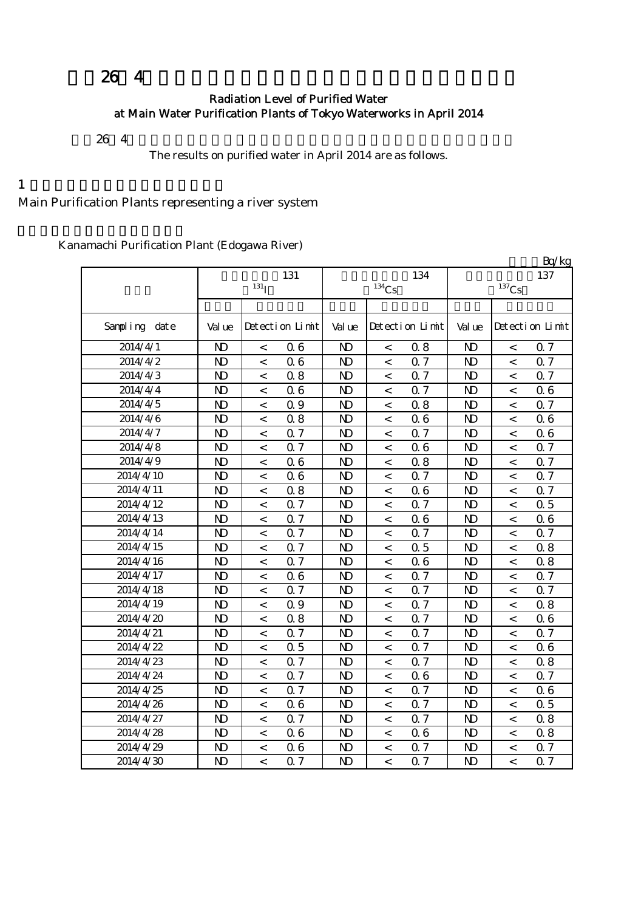## $26 \t 4$

### Radiation Level of Purified Water at Main Water Purification Plants of Tokyo Waterworks in April 2014

 $264$ 

The results on purified water in April 2014 are as follows.

 $1$ 

Main Purification Plants representing a river system

Kanamachi Purification Plant (Edogawa River)

|               |                |                          |                 |                |                     |                  |                |                     | Bq/kg           |  |
|---------------|----------------|--------------------------|-----------------|----------------|---------------------|------------------|----------------|---------------------|-----------------|--|
|               | 131            |                          |                 |                |                     | 134              | 137            |                     |                 |  |
|               |                | 131 <sub>I</sub>         |                 |                | $^{134}\mathrm{Cs}$ |                  |                | $^{137}\mathrm{Cs}$ |                 |  |
|               |                |                          |                 |                |                     |                  |                |                     |                 |  |
| Sampling date | Val ue         |                          | Detection Limit | Val ue         |                     | Detection Limit  | Val ue         |                     | Detection Limit |  |
| 2014/4/1      | $\mathbf{D}$   | $\,<\,$                  | 06              | $\mathbf{D}$   | $\,<\,$             | 0.8              | $\mathbf{D}$   | $\,<\,$             | 0.7             |  |
| 2014/4/2      | $\mathbf{D}$   | $\,<\,$                  | 06              | $\mathbf{D}$   | $\,<\,$             | 0.7              | $\mathbf{D}$   | $\,<\,$             | 0.7             |  |
| 2014/4/3      | $\mathbf{D}$   | $\prec$                  | 0.8             | $\mathbf{D}$   | $\,<$               | 0.7              | $\mathbf{D}$   | $\,<\,$             | 0.7             |  |
| 2014/4/4      | $\mathbf{D}$   | $\,<$                    | 06              | $\mathbf{D}$   | $\,<$               | 0.7              | $\mathbf{D}$   | $\,<$               | 0.6             |  |
| 2014/4/5      | $\mathbf{D}$   | $\,<\,$                  | 0.9             | N <sub>D</sub> | $\,<\,$             | 0.8              | $\mathbf{D}$   | $\,<\,$             | 0.7             |  |
| 2014/4/6      | $\mathbf{D}$   | $\,<\,$                  | 0.8             | N <sub>D</sub> | $\,<$               | 06               | $\mathbf{D}$   | $\,<$               | 06              |  |
| 2014/4/7      | $\mathbf{D}$   | $\,<$                    | 0.7             | $\mathbf{D}$   | $\,<$               | 0.7              | N <sub>D</sub> | $\,<\,$             | 06              |  |
| 2014/4/8      | $\mathbf{D}$   | $\,<\,$                  | 0.7             | $\mathbf{D}$   | $\,<\,$             | 06               | $\mathbf{D}$   | $\,<\,$             | 0.7             |  |
| 2014/4/9      | $\mathbf{D}$   | $\,<\,$                  | 06              | $\mathbf{D}$   | $\,<$               | 0.8              | $\mathbf{D}$   | $\,<$               | 0.7             |  |
| 2014/4/10     | $\mathbf{D}$   | $\,<\,$                  | 06              | $\mathbf{D}$   | $\,<\,$             | 0.7              | $\mathbf{D}$   | $\,<\,$             | 0.7             |  |
| 2014/4/11     | $\mathbf{D}$   | $\,<\,$                  | 08              | $\mathbf{D}$   | $\,<$               | 06               | $\mathbf{D}$   | $\,<$               | 0.7             |  |
| 2014/4/12     | $\mathbf{D}$   | $\,<\,$                  | 0.7             | $\mathbf{D}$   | $\,<$               | 0.7              | $\mathbf{D}$   | $\,<\,$             | 0.5             |  |
| 2014/4/13     | $\mathbf{D}$   | $\lt$                    | 0.7             | $\mathbf{D}$   | $\,<$               | 06               | $\mathbf{D}$   | $\,<$               | 06              |  |
| 2014/4/14     | $\mathbf{D}$   | $\,<$                    | 0.7             | $\mathbf{D}$   | $\,<$               | 0.7              | $\mathbf{D}$   | $\,<\,$             | 0.7             |  |
| 2014/4/15     | $\mathbf{D}$   | $\,<\,$                  | 0.7             | $\mathbf{D}$   | $\,<\,$             | 0.5              | $\mathbf{D}$   | $\,<\,$             | 0.8             |  |
| 2014/4/16     | $\mathbf{D}$   | $\,<\,$                  | 0.7             | $\mathbf{D}$   | $\,<\,$             | 06               | $\mathbf{D}$   | $\,<\,$             | 0.8             |  |
| 2014/4/17     | $\mathbf{D}$   | $\overline{\phantom{a}}$ | 06              | $\mathbf{D}$   | $\,<\,$             | 0.7              | N <sub>D</sub> | $\lt$               | 0.7             |  |
| 2014/4/18     | $\mathbf{D}$   | $\,<\,$                  | 0.7             | $\mathbf{D}$   | $\,<$               | 0.7              | N <sub>D</sub> | $\,<\,$             | 0.7             |  |
| 2014/4/19     | $\mathbf{D}$   | $\,<\,$                  | 0.9             | N <sub>D</sub> | $\,<$               | 0.7              | $\mathbf{D}$   | $\,<$               | 0.8             |  |
| 2014/4/20     | $\mathbf{D}$   | $\,<$                    | 08              | $\mathbf{D}$   | $\,<$               | 0.7              | N <sub>D</sub> | $\,<\,$             | 06              |  |
| 2014/4/21     | $\mathbf{D}$   | $\,<\,$                  | 0.7             | N <sub>D</sub> | $\,<$               | 0.7              | N <sub>D</sub> | $\,<\,$             | 0.7             |  |
| 2014/4/22     | $\mathbf{D}$   | $\,<\,$                  | 0.5             | $\mathbf{D}$   | $\,<$               | 0.7              | $\mathbf{D}$   | $\,<\,$             | 06              |  |
| 2014/4/23     | $\mathbf{D}$   | $\,<\,$                  | 0.7             | $\mathbf{D}$   | $\,<$               | 0.7              | $\mathbf{D}$   | $\,<\,$             | 0.8             |  |
| 2014/4/24     | $\mathbf{D}$   | $\,<$                    | 0.7             | $\mathbf{D}$   | $\,<$               | 06               | $\mathbf{D}$   | $\,<\,$             | 0.7             |  |
| 2014/4/25     | $\mathbf{D}$   | $\,<\,$                  | 0.7             | $\mathbf{D}$   | $\,<\,$             | 0.7              | $\mathbf{D}$   | $\,<\,$             | 0.6             |  |
| 2014/4/26     | $\mathbf{D}$   | $\,<\,$                  | 06              | $\mathbf{D}$   | $\,<$               | 0.7              | $\mathbf{D}$   | $\,<\,$             | 0.5             |  |
| 2014/4/27     | $\mathbf{D}$   | $\,<\,$                  | 0.7             | $\mathbf{D}$   | $\,<\,$             | 0.7              | $\mathbf{D}$   | $\,<\,$             | 0.8             |  |
| 2014/4/28     | $\mathbf{D}$   | $\overline{\phantom{a}}$ | 06              | $\mathbf{D}$   | $\,<\,$             | 06               | $\mathbf{D}$   | $\lt$               | 0.8             |  |
| 2014/4/29     | $\mathbf{D}$   | $\,<\,$                  | 06              | $\mathbf{D}$   | $\,<$               | 0.7              | $\mathbf{D}$   | $\,<\,$             | 0.7             |  |
| 2014/4/30     | N <sub>D</sub> | $\overline{a}$           | Q 7             | $\mathbf{D}$   | $\lt$               | $\overline{0}$ 7 | $\mathbf{D}$   | $\overline{a}$      | 0.7             |  |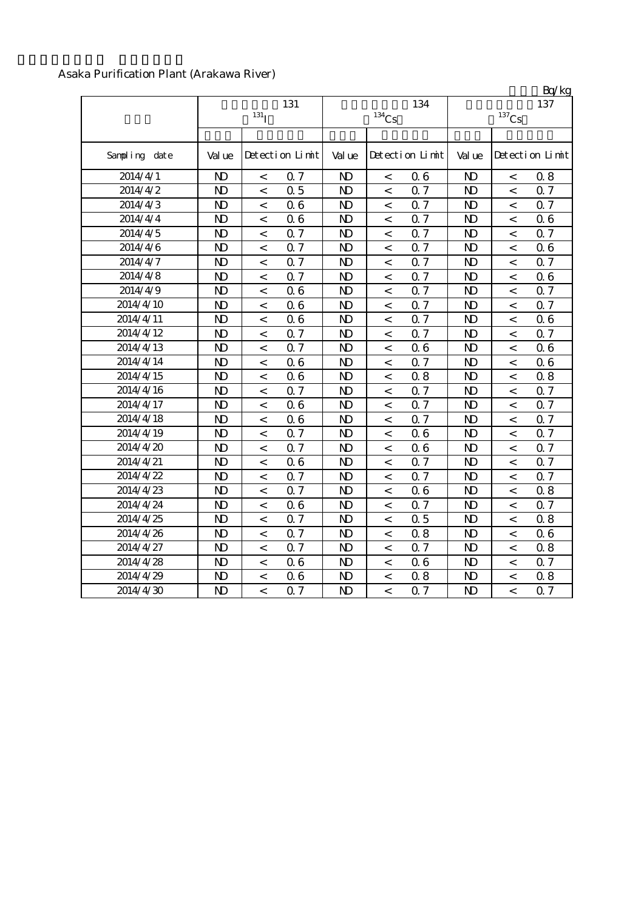#### Asaka Purification Plant (Arakawa River)

|                  |                |                          |                 |                |                     |                 |                |                          | BQ/kg           |
|------------------|----------------|--------------------------|-----------------|----------------|---------------------|-----------------|----------------|--------------------------|-----------------|
|                  |                |                          | 131             |                |                     | 134             |                |                          | 137             |
|                  |                | $131$ <sup>T</sup>       |                 |                | $^{134}\mathrm{Cs}$ |                 |                | $^{137}\mathrm{Cs}$      |                 |
|                  |                |                          |                 |                |                     |                 |                |                          |                 |
| Sampling date    | Val ue         |                          | Detection Limit | Val ue         |                     | Detection Limit | Val ue         |                          | Detection Limit |
| 2014/4/1         | N <sub>D</sub> | $\,<\,$                  | 0.7             | N <sub>D</sub> | $\lt$               | 06              | N <sub>D</sub> | $\,<\,$                  | 0.8             |
| 2014/4/2         | $\mathbf{D}$   | $\prec$                  | 0.5             | $\mathbf{D}$   | $\,<$               | 0.7             | $\mathbf{D}$   | $\,<$                    | 0.7             |
| $2014/4\sqrt{3}$ | $\mathbf{D}$   | $\,<$                    | 06              | N <sub>D</sub> | $\,<\,$             | 0.7             | N <sub>D</sub> | $\,<\,$                  | 0.7             |
| 2014/4/4         | $\mathbf{D}$   | $\,<$                    | 06              | $\mathbf{D}$   | $\,<$               | 0.7             | $\mathbf{D}$   | $\,<$                    | 06              |
| 2014/4/5         | $\mathbf{D}$   | $\,<$                    | 0.7             | N <sub>D</sub> | $\,<\,$             | 0.7             | N <sub>D</sub> | $\,<\,$                  | 0.7             |
| 2014/4/6         | $\mathbf{D}$   | $\,<\,$                  | 0.7             | $\mathbf{D}$   | $\,<\,$             | 0.7             | $\mathbf{D}$   | $\,<\,$                  | 06              |
| 2014/4/7         | $\mathbf{D}$   | $\lt$                    | 0.7             | N <sub>D</sub> | $\,<$               | 0.7             | $\mathbf{D}$   | $\,<\,$                  | 0.7             |
| 2014/4/8         | $\mathbf{D}$   | $\,<$                    | 0.7             | $\mathbf{D}$   | $\,<\,$             | 0.7             | N <sub>D</sub> | $\,<\,$                  | 06              |
| 2014/4/9         | $\mathbf{D}$   | $\lt$                    | 06              | N <sub>D</sub> | $\,<$               | 0.7             | $\mathbf{D}$   | $\,<\,$                  | 0.7             |
| 2014/4/10        | $\mathbf{D}$   | $\overline{a}$           | 06              | $\mathbf{D}$   | $\lt$               | Q <sub>7</sub>  | N <sub>D</sub> | $\lt$                    | 0.7             |
| 2014/4/11        | $\mathbf{D}$   | $\lt$                    | 06              | N <sub>D</sub> | $\,<$               | 0.7             | $\mathbf{D}$   | $\,<\,$                  | 0.6             |
| 2014/4/12        | $\mathbf{D}$   | $\prec$                  | 0.7             | N <sub>D</sub> | $\,<$               | 0.7             | N <sub>D</sub> | $\,<$                    | 0.7             |
| 2014/4/13        | $\mathbf{D}$   | $\prec$                  | 0.7             | $\mathbf{D}$   | $\,<$               | 06              | $\mathbf{D}$   | $\,<\,$                  | 06              |
| 2014/4/14        | $\mathbf{D}$   | $\,<$                    | 06              | N <sub>D</sub> | $\,<$               | 0.7             | N <sub>D</sub> | $\,<$                    | 0.6             |
| 2014/4/15        | $\mathbf{D}$   | $\,<\,$                  | 06              | $\mathbf{D}$   | $\,<\,$             | 0.8             | $\mathbf{D}$   | $\,<\,$                  | 0.8             |
| 2014/4/16        | $\mathbf{D}$   | $\lt$                    | 0.7             | N <sub>D</sub> | $\,<\,$             | 0.7             | $\mathbf{D}$   | $\,<\,$                  | $0.7\,$         |
| 2014/4/17        | $\mathbf{D}$   | $\lt$                    | 06              | $\mathbf{D}$   | $\,<\,$             | Q <sub>7</sub>  | N <sub>D</sub> | $\,<\,$                  | 0.7             |
| 2014/4/18        | $\mathbf{D}$   | $\prec$                  | 06              | $\mathbf{D}$   | $\,<\,$             | Q <sub>7</sub>  | N <sub>D</sub> | $\prec$                  | 0.7             |
| 2014/4/19        | $\mathbf{D}$   | $\overline{\phantom{a}}$ | 0.7             | $\mathbf{D}$   | $\,<$               | 06              | $\mathbf{D}$   | $\,<$                    | 0.7             |
| 2014/4/20        | $\mathbf{D}$   | $\lt$                    | Q <sub>7</sub>  | $\mathbf{D}$   | $\,<\,$             | 06              | $\mathbf{D}$   | $\,<\,$                  | 0.7             |
| 2014/4/21        | $\mathbf{D}$   | $\overline{<}$           | 06              | $\mathbf{D}$   | $\,<\,$             | Q <sub>7</sub>  | N <sub>D</sub> | $\,<\,$                  | 0.7             |
| 2014/4/22        | $\mathbf{D}$   | $\,<\,$                  | 0.7             | N <sub>D</sub> | $\,<\,$             | 0.7             | N <sub>D</sub> | $\,<$                    | 0.7             |
| 2014/4/23        | $\mathbf{D}$   | $\,<$                    | 0.7             | N <sub>D</sub> | $\,<\,$             | 06              | N <sub>D</sub> | $\,<\,$                  | 0.8             |
| 2014/4/24        | $\mathbf{D}$   | $\,<\,$                  | 06              | N <sub>D</sub> | $\,<\,$             | 0.7             | N <sub>D</sub> | $\,<\,$                  | 0.7             |
| 2014/4/25        | $\mathbf{D}$   | $\,<\,$                  | 0.7             | N <sub>D</sub> | $\,<\,$             | 0.5             | N <sub>D</sub> | $\,<\,$                  | 0.8             |
| 2014/4/26        | $\mathbf{D}$   | $\lt$                    | Q <sub>7</sub>  | $\mathbf{D}$   | $\,<\,$             | 0.8             | $\mathbf{D}$   | $\,<\,$                  | 0.6             |
| 2014/4/27        | $\mathbf{D}$   | $\,<$                    | 0.7             | N <sub>D</sub> | $\,<\,$             | 0.7             | N <sub>D</sub> | $\,<\,$                  | 0.8             |
| 2014/4/28        | $\mathbf{D}$   | $\lt$                    | 06              | $\mathbf{D}$   | $\,<\,$             | 06              | $\mathbf{D}$   | $\overline{\phantom{a}}$ | 0.7             |
| 2014/4/29        | $\mathbf{D}$   | $\prec$                  | 06              | N <sub>D</sub> | $\,<\,$             | 0.8             | $\mathbf{D}$   | $\,<\,$                  | 0.8             |
| 2014/4/30        | $\mathbf{D}$   | $\overline{a}$           | 0.7             | $\mathbf{D}$   | $\lt$               | 0.7             | N <sub>D</sub> | $\overline{a}$           | 0.7             |

 $R_0/k$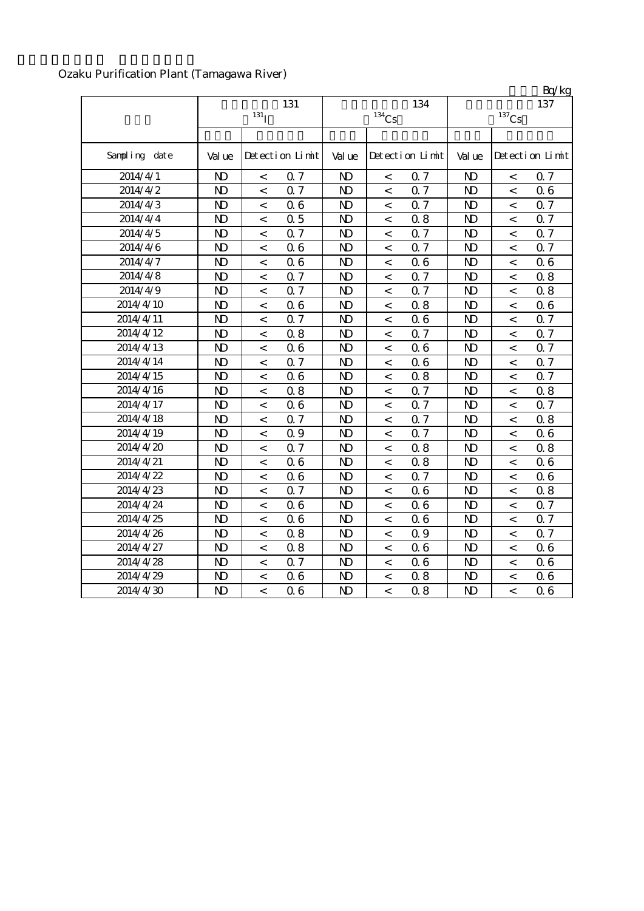## Ozaku Purification Plant (Tamagawa River)

|               |                |                          |                 |                |                          |                 |                     |                          | Bq/kg           |
|---------------|----------------|--------------------------|-----------------|----------------|--------------------------|-----------------|---------------------|--------------------------|-----------------|
|               |                |                          | 131             |                |                          | 134             |                     |                          | 137             |
|               |                | $131$ <sup>T</sup>       |                 | $134$ Cs       |                          |                 | $^{137}\mathrm{Cs}$ |                          |                 |
|               |                |                          |                 |                |                          |                 |                     |                          |                 |
| Sampling date | Val ue         |                          | Detection Limit | Val ue         |                          | Detection Limit | Val ue              |                          | Detection Limit |
| 2014/4/1      | $\mathbf{D}$   | $\,<\,$                  | 0.7             | $\mathbf{D}$   | $\,<\,$                  | 0.7             | $\mathbf{D}$        | $\,<\,$                  | 0.7             |
| 2014/4/2      | $\mathbf{D}$   | $\,<\,$                  | 0.7             | $\mathbf{D}$   | $\,<\,$                  | 0.7             | $\mathbf{D}$        | $\,<\,$                  | 0.6             |
| 2014/4/3      | $\mathbf{D}$   | $\,<\,$                  | 06              | $\mathbf{D}$   | $\,<\,$                  | 0.7             | $\mathbf{D}$        | $\,<\,$                  | 0.7             |
| 2014/4/4      | $\mathbf{D}$   | $\,<$                    | 0.5             | $\mathbf{D}$   | $\,<$                    | 0.8             | $\mathbf{D}$        | $\,<\,$                  | 0.7             |
| 2014/4/5      | $\mathbf{D}$   | $\,<$                    | 0.7             | N <sub>D</sub> | $\,<\,$                  | 0.7             | N <sub>D</sub>      | $\,<$                    | 0.7             |
| 2014/4/6      | $\mathbf{D}$   | $\,<\,$                  | 06              | $\mathbf{D}$   | $\,<\,$                  | 0.7             | $\mathbf{D}$        | $\,<\,$                  | 0.7             |
| 2014/4/7      | $\mathbf{D}$   | $\,<\,$                  | 06              | $\mathbf{D}$   | $\,<\,$                  | 06              | $\mathbf{D}$        | $\,<\,$                  | 0.6             |
| 2014/4/8      | $\mathbf{D}$   | $\,<\,$                  | Q 7             | $\mathbf{D}$   | $\,<\,$                  | Q 7             | $\mathbf{D}$        | $\lt$                    | 0.8             |
| 2014/4/9      | $\mathbf{D}$   | $\,<\,$                  | 0.7             | $\mathbf{D}$   | $\,<\,$                  | 0.7             | $\mathbf{D}$        | $\,<\,$                  | 0.8             |
| 2014/4/10     | $\mathbf{D}$   | $\,<\,$                  | 06              | $\mathbf{D}$   | $\prec$                  | 0.8             | $\mathbf{D}$        | $\,<\,$                  | 0.6             |
| 2014/4/11     | $\mathbf{D}$   | $\lt$                    | 0.7             | $\mathbf{D}$   | $\,<\,$                  | 06              | N <sub>D</sub>      | $\overline{\phantom{a}}$ | 0.7             |
| 2014/4/12     | $\mathbf{D}$   | $\,<\,$                  | 0.8             | $\mathbf{D}$   | $\,<\,$                  | 0.7             | $\mathbf{D}$        | $\,<\,$                  | 0.7             |
| 2014/4/13     | $\mathbf{D}$   | $\,<$                    | 06              | $\mathbf{D}$   | $\,<$                    | 06              | $\mathbf{D}$        | $\,<\,$                  | 0.7             |
| 2014/4/14     | $\mathbf{D}$   | $\,<$                    | 0.7             | $\mathbf{D}$   | $\,<\,$                  | 06              | N <sub>D</sub>      | $\,<\,$                  | 0.7             |
| 2014/4/15     | N <sub>D</sub> | $\,<$                    | 06              | N <sub>D</sub> | $\,<$                    | 0.8             | N <sub>D</sub>      | $\,<$                    | 0.7             |
| 2014/4/16     | $\mathbf{D}$   | $\,<\,$                  | 0.8             | $\mathbf{D}$   | $\,<\,$                  | Q <sub>7</sub>  | N <sub>D</sub>      | $\lt$                    | 0.8             |
| 2014/4/17     | $\mathbf{D}$   | $\,<\,$                  | 06              | $\mathbf{D}$   | $\,<\,$                  | Q 7             | $\mathbf{D}$        | $\,<\,$                  | 0.7             |
| 2014/4/18     | $\mathbf{D}$   | $\,<$                    | 0.7             | $\mathbf{D}$   | $\,<\,$                  | 0.7             | $\mathbf{D}$        | $\,<\,$                  | 0.8             |
| 2014/4/19     | N <sub>D</sub> | $\,<\,$                  | 0.9             | $\mathbf{D}$   | $\lt$                    | Q <sub>7</sub>  | $\mathbf{D}$        | $\,<$                    | 06              |
| 2014/4/20     | $\mathbf{D}$   | $\,<\,$                  | 0.7             | $\mathbf{D}$   | $\prec$                  | 0.8             | $\mathbf{D}$        | $\,<\,$                  | 0.8             |
| 2014/4/21     | $\mathbf{D}$   | $\,<\,$                  | 06              | $\mathbf{D}$   | $\,<\,$                  | 0.8             | $\mathbf{D}$        | $\,<\,$                  | 0.6             |
| 2014/4/22     | $\mathbf{D}$   | $\,<\,$                  | 06              | $\mathbf{D}$   | $\,<\,$                  | 0.7             | $\mathbf{D}$        | $\lt$                    | 0.6             |
| 2014/4/23     | $\mathbf{D}$   | $\,<$                    | 0.7             | $\mathbf{D}$   | $\lt$                    | 06              | $\mathbf{D}$        | $\,<\,$                  | 0.8             |
| 2014/4/24     | $\mathbf{N}$   | $\,<\,$                  | 06              | $\mathbf{D}$   | $\,<\,$                  | 06              | N <sub>D</sub>      | $\,<\,$                  | 0.7             |
| 2014/4/25     | $\mathbf{D}$   | $\,<$                    | 06              | N <sub>D</sub> | $\,<\,$                  | 06              | $\mathbf{D}$        | $\,<\,$                  | 0.7             |
| 2014/4/26     | $\mathbf{D}$   | $\,<\,$                  | 0.8             | N <sub>D</sub> | $\,<\,$                  | 0.9             | N <sub>D</sub>      | $\,<\,$                  | 0.7             |
| 2014/4/27     | $\mathbf{D}$   | $\,<\,$                  | 0.8             | $\mathbf{D}$   | $\,<\,$                  | 06              | $\mathbf{D}$        | $\lt$                    | 06              |
| 2014/4/28     | $\mathbf{D}$   | $\,<$                    | 0.7             | $\mathbf{D}$   | $\,<\,$                  | 06              | $\mathbf{D}$        | $\,<$                    | 0.6             |
| 2014/4/29     | $\mathbf{D}$   | $\,<$                    | 06              | N <sub>D</sub> | $\,<\,$                  | 0.8             | $\mathbf{D}$        | $\,<\,$                  | 06              |
| 2014/4/30     | N <sub>D</sub> | $\overline{\phantom{a}}$ | 06              | $\mathbf{D}$   | $\overline{\phantom{a}}$ | 0.8             | N <sub>D</sub>      | $\overline{a}$           | 0.6             |

 $R_0/k$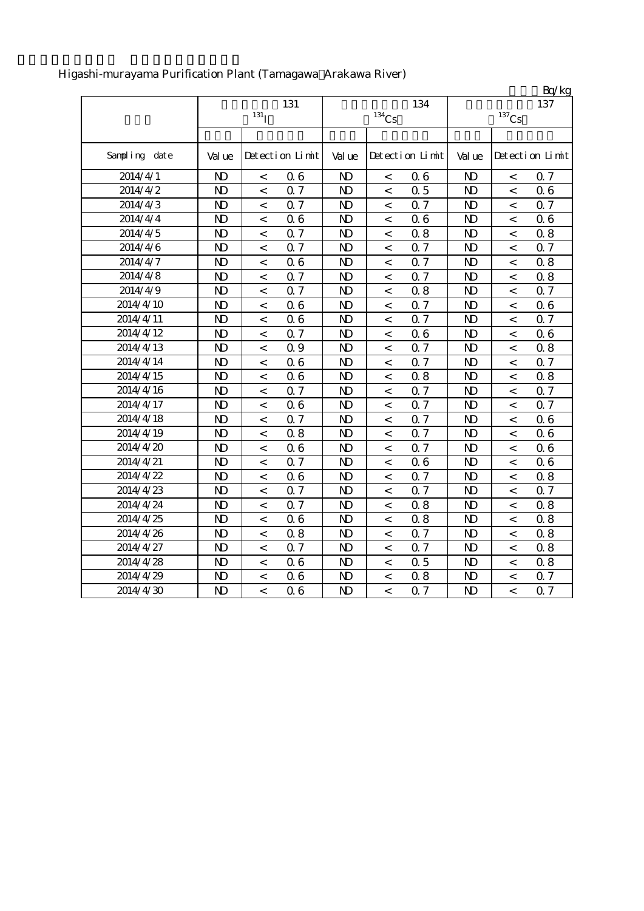|               |                |                    |                 |                |                |                 |              |                     | Bq/kg           |
|---------------|----------------|--------------------|-----------------|----------------|----------------|-----------------|--------------|---------------------|-----------------|
|               |                |                    | 131             |                |                | 134             |              |                     | 137             |
|               |                | $131$ <sub>I</sub> |                 |                | $134$ Cs       |                 |              | $^{137}\mathrm{Cs}$ |                 |
|               |                |                    |                 |                |                |                 |              |                     |                 |
| Sampling date | Val ue         |                    | Detection Limit | Val ue         |                | Detection Limit | Val ue       |                     | Detection Limit |
| 2014/4/1      | $\mathbf{D}$   | $\,<\,$            | 06              | N <sub>D</sub> | $\,<\,$        | 06              | $\mathbf{D}$ | $\,<$               | 0.7             |
| 2014/4/2      | $\mathbf{D}$   | $\prec$            | Q <sub>7</sub>  | $\mathbf{D}$   | $\lt$          | 0.5             | $\mathbf{D}$ | $\prec$             | 06              |
| 2014/4/3      | $\mathbf{D}$   | $\,<\,$            | Q <sub>7</sub>  | $\mathbf{D}$   | $\,<\,$        | Q 7             | $\mathbf{D}$ | $\,<\,$             | 0.7             |
| 2014/4/4      | $\mathbf{D}$   | $\,<\,$            | 06              | $\mathbf{D}$   | $\,<\,$        | 06              | $\mathbf{D}$ | $\,<\,$             | 0.6             |
| 2014/4/5      | $\mathbf{D}$   | $\prec$            | 0.7             | $\mathbf{D}$   | $\,<\,$        | 0.8             | $\mathbf{D}$ | $\,<\,$             | 0.8             |
| 2014/4/6      | $\mathbf{D}$   | $\prec$            | 0.7             | $\mathbf{D}$   | $\lt$          | 0.7             | $\mathbf{D}$ | $\lt$               | 0.7             |
| 2014/4/7      | $\mathbf{D}$   | $\,<\,$            | 06              | $\mathbf{D}$   | $\lt$          | Q 7             | $\mathbf{D}$ | $\lt$               | 0.8             |
| 2014/4/8      | $\mathbf{D}$   | $\,<$              | 0.7             | $\mathbf{D}$   | $\,<\,$        | 0.7             | $\mathbf{D}$ | $\,<\,$             | 0.8             |
| 2014/4/9      | $\mathbf{D}$   | $\,<\,$            | 0.7             | $\mathbf{D}$   | $\,<\,$        | 0.8             | $\mathbf{D}$ | $\,<\,$             | 0.7             |
| 2014/4/10     | $\mathbf{D}$   | $\,<$              | 06              | $\mathbf{D}$   | $\,<$          | Q 7             | $\mathbf{D}$ | $\,<$               | 06              |
| 2014/4/11     | $\mathbf{D}$   | $\,<$              | 06              | $\mathbf{D}$   | $\,<\,$        | 0.7             | $\mathbf{D}$ | $\,<\,$             | 0.7             |
| 2014/4/12     | $\mathbf{D}$   | $\,<\,$            | 0.7             | N <sub>D</sub> | $\,<\,$        | 06              | $\mathbf{D}$ | $\,<$               | 0.6             |
| 2014/4/13     | $\mathbf{D}$   | $\prec$            | 0.9             | $\mathbf{D}$   | $\,<\,$        | Q 7             | $\mathbf{D}$ | $\,<$               | 0.8             |
| 2014/4/14     | $\mathbf{D}$   | $\,<\,$            | 06              | $\mathbf{D}$   | $\,<\,$        | 0.7             | $\mathbf{D}$ | $\,<$               | 0.7             |
| 2014/4/15     | $\mathbf{D}$   | $\,<$              | 06              | N <sub>D</sub> | $\,<\,$        | 0.8             | $\mathbf{D}$ | $\,<$               | 0.8             |
| 2014/4/16     | $\mathbf{D}$   | $\,<$              | Q <sub>7</sub>  | $\mathbf{D}$   | $\,<$          | Q <sub>7</sub>  | $\mathbf{D}$ | $\,<$               | 0.7             |
| 2014/4/17     | $\mathbf{D}$   | $\,<\,$            | 06              | $\mathbf{D}$   | $\lt$          | Q 7             | $\mathbf{D}$ | $\,<\,$             | 0.7             |
| 2014/4/18     | $\mathbf{D}$   | $\,<$              | Q <sub>7</sub>  | $\mathbf{D}$   | $\lt$          | Q 7             | $\mathbf{D}$ | $\,<\,$             | 0.6             |
| 2014/4/19     | $\mathbf{D}$   | $\,<\,$            | 0.8             | $\mathbf{D}$   | $\,<$          | 0.7             | $\mathbf{D}$ | $\,<\,$             | 06              |
| 2014/4/20     | $\mathbf{D}$   | $\,<\,$            | 06              | $\mathbf{D}$   | $\,<\,$        | Q 7             | $\mathbf{D}$ | $\,<\,$             | 0.6             |
| 2014/4/21     | $\mathbf{D}$   | $\,<\,$            | 0.7             | $\mathbf{D}$   | $\,<\,$        | 06              | $\mathbf{D}$ | $\,<\,$             | 06              |
| 2014/4/22     | $\mathbf{D}$   | $\,<$              | 06              | $\mathbf{D}$   | $\,<\,$        | 0.7             | $\mathbf{D}$ | $\,<$               | 0.8             |
| 2014/4/23     | $\mathbf{D}$   | $\,<\,$            | 0.7             | N <sub>D</sub> | $\,<\,$        | 0.7             | $\mathbf{D}$ | $\,<$               | 0.7             |
| 2014/4/24     | $\mathbf{D}$   | $\,<$              | Q 7             | $\mathbf{D}$   | $\,<\,$        | 0.8             | $\mathbf{D}$ | $\,<\,$             | 0.8             |
| 2014/4/25     | $\mathbf{D}$   | $\,<\,$            | 06              | $\mathbf{D}$   | $\,<\,$        | 0.8             | $\mathbf{D}$ | $\,<\,$             | 0.8             |
| 2014/4/26     | $\mathbf{D}$   | $\,<\,$            | 0.8             | N <sub>D</sub> | $\,<\,$        | 0.7             | $\mathbf{D}$ | $\,<$               | 0.8             |
| 2014/4/27     | $\mathbf{D}$   | $\,<\,$            | 0.7             | $\mathbf{D}$   | $\,<\,$        | 0.7             | $\mathbf{D}$ | $\,<\,$             | 0.8             |
| 2014/4/28     | $\mathbf{D}$   | $\,<$              | 06              | $\mathbf{D}$   | $\,<\,$        | 0.5             | $\mathbf{D}$ | $\,<\,$             | 0.8             |
| 2014/4/29     | N <sub>D</sub> | $\,<$              | 06              | $\mathbf{D}$   | $\,<$          | 0.8             | $\mathbf{D}$ | $\,<$               | 0.7             |
| 2014/4/30     | $\mathbf{D}$   | $\overline{a}$     | 06              | N <sub>D</sub> | $\overline{a}$ | $Q\bar{z}$      | $\mathbf{D}$ | $\overline{a}$      | 0.7             |

# Higashi-murayama Purification Plant (Tamagawa Arakawa River)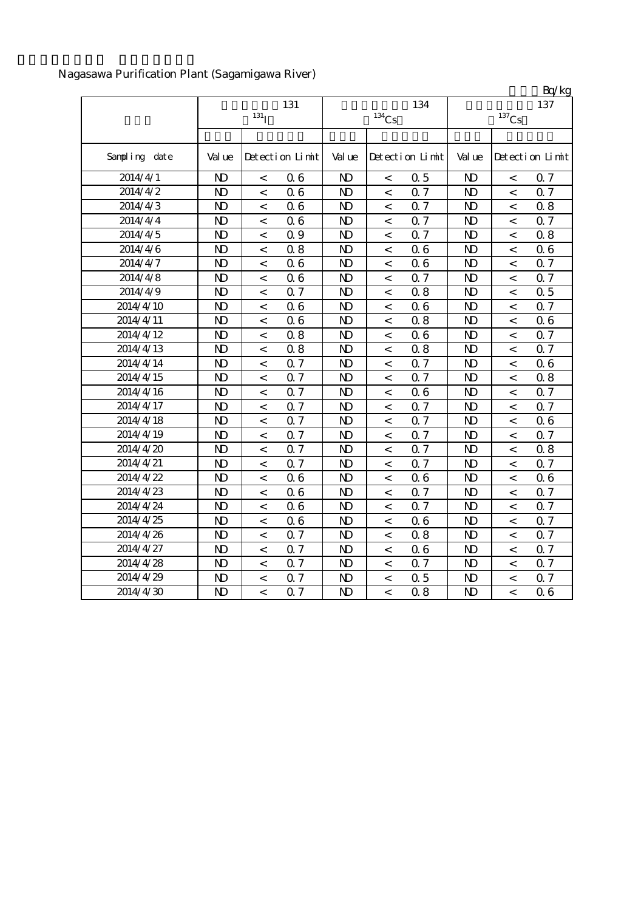Nagasawa Purification Plant (Sagamigawa River)

|               |                |                          |                 |                |                          |                 |                |                          | Bq/kg           |
|---------------|----------------|--------------------------|-----------------|----------------|--------------------------|-----------------|----------------|--------------------------|-----------------|
|               |                |                          | 131             |                |                          | 134             |                |                          | 137             |
|               |                | 131 <sub>I</sub>         |                 |                | $134$ Cs                 |                 |                | $^{137}\mathrm{Cs}$      |                 |
|               |                |                          |                 |                |                          |                 |                |                          |                 |
| Sampling date | Val ue         |                          | Detection Limit | Val ue         |                          | Detection Limit | Val ue         |                          | Detection Limit |
| 2014/4/1      | $\mathbf{D}$   | $\lt$                    | 06              | $\mathbf{D}$   | $\,<\,$                  | 0.5             | N <sub>D</sub> | $\,<$                    | 0.7             |
| 2014/4/2      | $\mathbf{D}$   | $\lt$                    | 06              | $\mathbf{D}$   | $\lt$                    | 0.7             | $\mathbf{D}$   | $\overline{\phantom{a}}$ | 0.7             |
| 2014/4/3      | $\mathbf{D}$   | $\,<\,$                  | 06              | $\mathbf{D}$   | $\prec$                  | 0.7             | $\mathbf{D}$   | $\,<\,$                  | 0.8             |
| 2014/4/4      | $\mathbf{D}$   | $\,<$                    | 06              | $\mathbf{D}$   | $\,<$                    | 0.7             | $\mathbf{D}$   | $\,<$                    | 0.7             |
| 2014/4/5      | $\mathbf{D}$   | $\,<\,$                  | 0.9             | $\mathbf{D}$   | $\,<$                    | 0.7             | $\mathbf{D}$   | $\,<\,$                  | 0.8             |
| 2014/4/6      | $\mathbf{D}$   | $\,<\,$                  | 0.8             | N <sub>D</sub> | $\,<$                    | 06              | N <sub>D</sub> | $\,<$                    | 0.6             |
| 2014/4/7      | $\mathbf{D}$   | $\,<\,$                  | 06              | N <sub>D</sub> | $\,<\,$                  | 06              | N <sub>D</sub> | $\,<\,$                  | 0.7             |
| 2014/4/8      | N <sub>D</sub> | $\,<\,$                  | 06              | N <sub>D</sub> | $\,<\,$                  | 0.7             | N <sub>D</sub> | $\,<\,$                  | 0.7             |
| 2014/4/9      | $\mathbf{N}$   | $\,<\,$                  | 0.7             | N <sub>D</sub> | $\,<\,$                  | 0.8             | $\mathbf{D}$   | $\,<\,$                  | 0.5             |
| 2014/4/10     | $\mathbf{D}$   | $\,<$                    | 06              | N <sub>D</sub> | $\,<\,$                  | 06              | $\mathbf{D}$   | $\,<\,$                  | 0.7             |
| 2014/4/11     | $\mathbf{D}$   | $\,<\,$                  | 06              | N <sub>D</sub> | $\,<\,$                  | 0.8             | $\mathbf{D}$   | $\,<\,$                  | 06              |
| 2014/4/12     | $\mathbf{D}$   | $\,<\,$                  | 0.8             | N <sub>D</sub> | $\,<\,$                  | 06              | $\mathbf{D}$   | $\,<\,$                  | 0.7             |
| 2014/4/13     | $\mathbf{D}$   | $\,<\,$                  | 0.8             | $\mathbf{D}$   | $\,<$                    | 0.8             | $\mathbf{D}$   | $\,<$                    | 0.7             |
| 2014/4/14     | $\mathbf{D}$   | $\,<\,$                  | 0.7             | $\mathbf{D}$   | $\,<\,$                  | 0.7             | $\mathbf{D}$   | $\,<$                    | 0.6             |
| 2014/4/15     | N <sub>D</sub> | $\overline{\phantom{a}}$ | Q <sub>7</sub>  | N <sub>D</sub> | $\,<\,$                  | Q <sub>7</sub>  | N <sub>D</sub> | $\,<\,$                  | 0.8             |
| 2014/4/16     | $\mathbf{D}$   | $\,<\,$                  | Q <sub>7</sub>  | $\mathbf{D}$   | $\,<\,$                  | 06              | $\mathbf{D}$   | $\,<\,$                  | 0.7             |
| 2014/4/17     | $\mathbf{D}$   | $\,<\,$                  | 0.7             | $\mathbf{D}$   | $\overline{\phantom{a}}$ | 0.7             | N <sub>D</sub> | $\,<\,$                  | 0.7             |
| 2014/4/18     | $\mathbf{D}$   | $\,<$                    | 0.7             | $\mathbf{D}$   | $\,<$                    | 0.7             | $\mathbf{D}$   | $\,<$                    | 0.6             |
| 2014/4/19     | $\mathbf{D}$   | $\,<$                    | 0.7             | N <sub>D</sub> | $\,<$                    | 0.7             | N <sub>D</sub> | $\,<\,$                  | 0.7             |
| 2014/4/20     | $\mathbf{D}$   | $\,<$                    | 0.7             | N <sub>D</sub> | $\,<$                    | 0.7             | $\mathbf{D}$   | $\,<$                    | 0.8             |
| 2014/4/21     | $\mathbf{D}$   | $\,<\,$                  | 0.7             | N <sub>D</sub> | $\,<\,$                  | 0.7             | N <sub>D</sub> | $\,<\,$                  | 0.7             |
| 2014/4/22     | $\mathbf{D}$   | $\,<\,$                  | 06              | N <sub>D</sub> | $\,<\,$                  | 06              | $\mathbf{D}$   | $\,<\,$                  | 06              |
| 2014/4/23     | $\mathbf{D}$   | $\,<\,$                  | 06              | $\mathbf{D}$   | $\,<$                    | 0.7             | $\mathbf{D}$   | $\,<\,$                  | 0.7             |
| 2014/4/24     | $\mathbf{D}$   | $\,<\,$                  | 06              | N <sub>D</sub> | $\,<$                    | Q 7             | $\mathbf{D}$   | $\,<\,$                  | 0.7             |
| 2014/4/25     | $\mathbf{D}$   | $\,<\,$                  | 06              | N <sub>D</sub> | $\,<$                    | 06              | $\mathbf{D}$   | $\,<$                    | 0.7             |
| 2014/4/26     | N <sub>D</sub> | $\,<\,$                  | 0.7             | N <sub>D</sub> | $\,<\,$                  | 0.8             | N <sub>D</sub> | $\,<\,$                  | 0.7             |
| 2014/4/27     | $\mathbf{D}$   | $\,<$                    | 0.7             | $\mathbf{D}$   | $\,<$                    | 06              | $\mathbf{D}$   | $\prec$                  | 0.7             |
| 2014/4/28     | $\mathbf{D}$   | $\,<\,$                  | 0.7             | $\mathbf{D}$   | $\,<\,$                  | 0.7             | $\mathbf{D}$   | $\,<\,$                  | 0.7             |
| 2014/4/29     | N <sub>D</sub> | $\,<\,$                  | 0.7             | N <sub>D</sub> | $\,<\,$                  | 0.5             | N <sub>D</sub> | $\,<\,$                  | 0.7             |
| 2014/4/30     | $\mathbf{D}$   | $\overline{a}$           | Q <sub>7</sub>  | $\mathbf{D}$   | $\lt$                    | 0.8             | $\mathbf{D}$   | $\overline{a}$           | 06              |